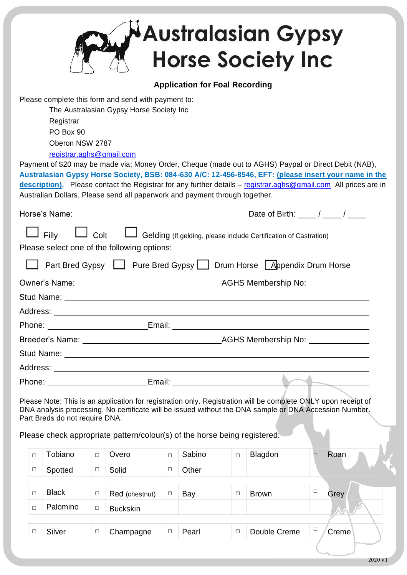|                                                                                                                                                                                                                      |                                                                                                                                                                                                                                                                                                                                                                                                                                                                                                                                                                                              |                                |        |                                                                           |        |        |        | <b>Australasian Gypsy</b><br><b>Horse Society Inc</b>                                                                                                                                                                   |        |       |  |
|----------------------------------------------------------------------------------------------------------------------------------------------------------------------------------------------------------------------|----------------------------------------------------------------------------------------------------------------------------------------------------------------------------------------------------------------------------------------------------------------------------------------------------------------------------------------------------------------------------------------------------------------------------------------------------------------------------------------------------------------------------------------------------------------------------------------------|--------------------------------|--------|---------------------------------------------------------------------------|--------|--------|--------|-------------------------------------------------------------------------------------------------------------------------------------------------------------------------------------------------------------------------|--------|-------|--|
|                                                                                                                                                                                                                      | <b>Application for Foal Recording</b>                                                                                                                                                                                                                                                                                                                                                                                                                                                                                                                                                        |                                |        |                                                                           |        |        |        |                                                                                                                                                                                                                         |        |       |  |
|                                                                                                                                                                                                                      | Please complete this form and send with payment to:<br>The Australasian Gypsy Horse Society Inc<br>Registrar<br>PO Box 90<br>Oberon NSW 2787<br>registrar.aghs@gmail.com<br>Payment of \$20 may be made via; Money Order, Cheque (made out to AGHS) Paypal or Direct Debit (NAB),<br>Australasian Gypsy Horse Society, BSB: 084-630 A/C: 12-456-8546, EFT: (please insert your name in the<br>description). Please contact the Registrar for any further details - registrar.aghs@gmail.com All prices are in<br>Australian Dollars. Please send all paperwork and payment through together. |                                |        |                                                                           |        |        |        |                                                                                                                                                                                                                         |        |       |  |
|                                                                                                                                                                                                                      |                                                                                                                                                                                                                                                                                                                                                                                                                                                                                                                                                                                              |                                |        |                                                                           |        |        |        |                                                                                                                                                                                                                         |        |       |  |
| $\Box$ Colt<br>Gelding (If gelding, please include Certification of Castration)<br>$\Box$ Filly<br>Please select one of the following options:<br>Part Bred Gypsy   Pure Bred Gypsy   Drum Horse Appendix Drum Horse |                                                                                                                                                                                                                                                                                                                                                                                                                                                                                                                                                                                              |                                |        |                                                                           |        |        |        |                                                                                                                                                                                                                         |        |       |  |
|                                                                                                                                                                                                                      | Owner's Name: <u>Name: AGHS Membership</u> No:                                                                                                                                                                                                                                                                                                                                                                                                                                                                                                                                               |                                |        |                                                                           |        |        |        |                                                                                                                                                                                                                         |        |       |  |
| Stud Name:                                                                                                                                                                                                           |                                                                                                                                                                                                                                                                                                                                                                                                                                                                                                                                                                                              |                                |        |                                                                           |        |        |        |                                                                                                                                                                                                                         |        |       |  |
| Address:                                                                                                                                                                                                             |                                                                                                                                                                                                                                                                                                                                                                                                                                                                                                                                                                                              |                                |        |                                                                           |        |        |        |                                                                                                                                                                                                                         |        |       |  |
|                                                                                                                                                                                                                      |                                                                                                                                                                                                                                                                                                                                                                                                                                                                                                                                                                                              |                                |        |                                                                           |        |        |        |                                                                                                                                                                                                                         |        |       |  |
|                                                                                                                                                                                                                      |                                                                                                                                                                                                                                                                                                                                                                                                                                                                                                                                                                                              |                                |        |                                                                           |        |        |        |                                                                                                                                                                                                                         |        |       |  |
|                                                                                                                                                                                                                      |                                                                                                                                                                                                                                                                                                                                                                                                                                                                                                                                                                                              |                                |        |                                                                           |        |        |        |                                                                                                                                                                                                                         |        |       |  |
|                                                                                                                                                                                                                      |                                                                                                                                                                                                                                                                                                                                                                                                                                                                                                                                                                                              |                                |        |                                                                           |        |        |        |                                                                                                                                                                                                                         |        |       |  |
|                                                                                                                                                                                                                      | Phone: ________________________________Email: __________________________________                                                                                                                                                                                                                                                                                                                                                                                                                                                                                                             |                                |        |                                                                           |        |        |        |                                                                                                                                                                                                                         |        |       |  |
|                                                                                                                                                                                                                      |                                                                                                                                                                                                                                                                                                                                                                                                                                                                                                                                                                                              | Part Breds do not require DNA. |        | Please check appropriate pattern/colour(s) of the horse being registered: |        |        |        | Please Note: This is an application for registration only. Registration will be complete ONLY upon receipt of<br>DNA analysis processing. No certificate will be issued without the DNA sample or DNA Accession Number. |        |       |  |
|                                                                                                                                                                                                                      | $\Box$                                                                                                                                                                                                                                                                                                                                                                                                                                                                                                                                                                                       | Tobiano                        | $\Box$ | Overo                                                                     | $\Box$ | Sabino | $\Box$ | Blagdon                                                                                                                                                                                                                 | $\Box$ | Roan  |  |
|                                                                                                                                                                                                                      | □                                                                                                                                                                                                                                                                                                                                                                                                                                                                                                                                                                                            | Spotted                        | $\Box$ | Solid                                                                     | $\Box$ | Other  |        |                                                                                                                                                                                                                         |        |       |  |
|                                                                                                                                                                                                                      |                                                                                                                                                                                                                                                                                                                                                                                                                                                                                                                                                                                              |                                |        |                                                                           |        |        |        |                                                                                                                                                                                                                         |        |       |  |
|                                                                                                                                                                                                                      | $\Box$                                                                                                                                                                                                                                                                                                                                                                                                                                                                                                                                                                                       | <b>Black</b>                   | $\Box$ | Red (chestnut)                                                            | $\Box$ | Bay    | $\Box$ | <b>Brown</b>                                                                                                                                                                                                            | $\Box$ | Grey  |  |
|                                                                                                                                                                                                                      | $\Box$                                                                                                                                                                                                                                                                                                                                                                                                                                                                                                                                                                                       | Palomino                       | $\Box$ | <b>Buckskin</b>                                                           |        |        |        |                                                                                                                                                                                                                         |        |       |  |
|                                                                                                                                                                                                                      | □                                                                                                                                                                                                                                                                                                                                                                                                                                                                                                                                                                                            | Silver                         | $\Box$ | Champagne                                                                 | $\Box$ | Pearl  | $\Box$ | Double Creme                                                                                                                                                                                                            | $\Box$ | Creme |  |
|                                                                                                                                                                                                                      |                                                                                                                                                                                                                                                                                                                                                                                                                                                                                                                                                                                              |                                |        |                                                                           |        |        |        |                                                                                                                                                                                                                         |        |       |  |